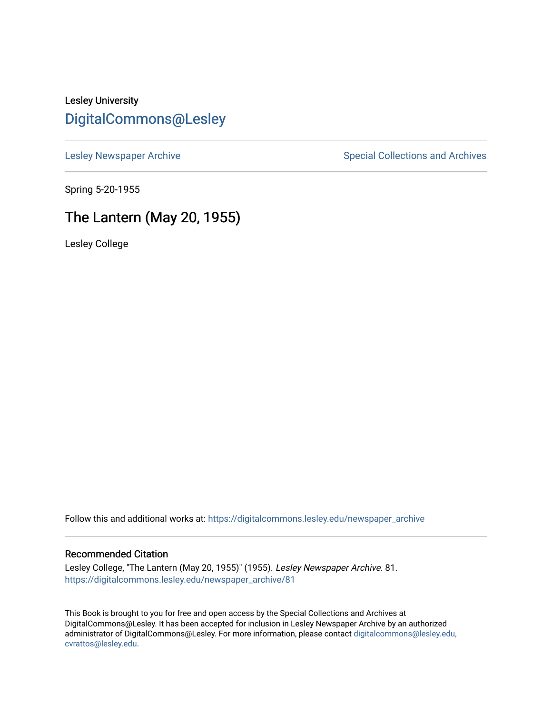# Lesley University [DigitalCommons@Lesley](https://digitalcommons.lesley.edu/)

[Lesley Newspaper Archive](https://digitalcommons.lesley.edu/newspaper_archive) **Special Collections and Archives** Special Collections and Archives

Spring 5-20-1955

# The Lantern (May 20, 1955)

Lesley College

Follow this and additional works at: [https://digitalcommons.lesley.edu/newspaper\\_archive](https://digitalcommons.lesley.edu/newspaper_archive?utm_source=digitalcommons.lesley.edu%2Fnewspaper_archive%2F81&utm_medium=PDF&utm_campaign=PDFCoverPages)

#### Recommended Citation

Lesley College, "The Lantern (May 20, 1955)" (1955). Lesley Newspaper Archive. 81. [https://digitalcommons.lesley.edu/newspaper\\_archive/81](https://digitalcommons.lesley.edu/newspaper_archive/81?utm_source=digitalcommons.lesley.edu%2Fnewspaper_archive%2F81&utm_medium=PDF&utm_campaign=PDFCoverPages) 

This Book is brought to you for free and open access by the Special Collections and Archives at DigitalCommons@Lesley. It has been accepted for inclusion in Lesley Newspaper Archive by an authorized administrator of DigitalCommons@Lesley. For more information, please contact [digitalcommons@lesley.edu,](mailto:digitalcommons@lesley.edu,%20cvrattos@lesley.edu)  [cvrattos@lesley.edu.](mailto:digitalcommons@lesley.edu,%20cvrattos@lesley.edu)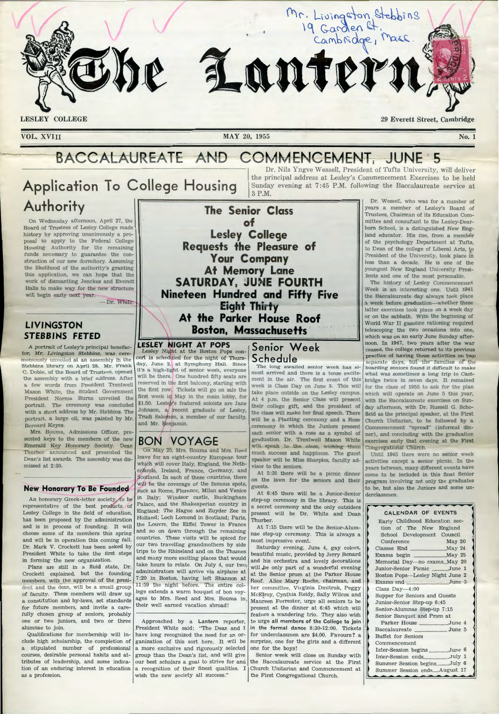

 $\setminus$ 

VOL. XVIII MAY 20, 1955

**Lesley College Requests the Pleasure of** 

> Your Company **At Memory Lane**

# BACCALAUREATE AND COMMENCEMENT, JUNE 5

3 P.M.

# **Applicati on To C ollege Housing Authority The Senior Class**

On Wednesday afternoon, April 27, the Board of Trustees of Lesley College made history by approving unanimously a proposal to apply to the Federal College Housing Authority for the re maining funds necessary to guarantee the construction of our new dormitory. Assuming the likelihood of the authority's granting this application, we can hope that the work of dismantling Jenckes and Everett Halls to make way for the new structure will begin early next year.

- Dr. White.

# **LIVINGSTON STEBBINS FETED**

A portrait of Lesley's principal benefactor, Mr. Livingston Stebbins, was ceremoniously unveiled at an assembly in the Stebbins library on April 28. Mr. Frank C. Doble, of the Board of Trustees, opened the assembly with a brief address. After a few words from President Trentwell Mason White, the Student Government President Norma Burns unveiled the portrait. The ceremony was concluded with a short address by Mr. Stebbins. The portrait, a large oil, was painted by Mr. Bernard Keyes.

Mrs. Bouma, Admissions Officer, presented keys to the members of the new Emerald Key Honorary Society. Dean Thurber announced and presented the Dean 's list awards. The assembly was dismissed at  $2:30$ .

#### **New Honorary To Be Founded**

An honorary Greek-letter society, to be representative of the best products of Lesley College in the field of education, has been proposed by the administration and is in process of founding. It will choose so me of its members this spring and will be in operation this coming fall. Dr. Mark V. Crockett has been asked by President White to take the first steps in forming the new organization.

Plans are still in a fluid state, Dr. Crockett explained, but the founding members, with the approval of the president and the dean, will be a small group of faculty. These members will draw up a constitution and by-laws, set standards for future members, and invite a carefully chosen group of seniors, probably one or two juniors, and two or three alumnae to join.

Qualifications for membership will include high scholarship, the completion of a stipulated number of professional courses, desirable personal habits and attributes of leadership, and some indication of an enduring interest in education as a profession.

**SATURDAY, JUNE FOURTH Nineteen Hundred and Fifty Five Eight T** Eight Thirty<br>At the Parker Hous<br>Boston, Massachu **At the Parker House Roof Boston, Massachusetts LESLEY NI GHT AT POPS**  Lesley Night at the Boston Pops concert is scheduled for the night of Thursday, June 2, at Symphony Hall. Since it's a high-light of senior week, everyone will be there. One hundred fifty seats are reserved in the first balcony, starting with the first row, Tickets will go on sale the first week in May in the main lobby, for

# **BON VOYAGE**

and Mr. Benjamin.

\$1.50. Lesley's featured soloists are Jane Johnson, a recent graduate of Lesley, Trudi Salomon, a member of our faculty,

such as *Rome*, **F** forence, **Milan** and Un May 25, Mrs. Bouma and Mrs. Reed leave for an eight-country European tour which will cover Italy, England, the Netherlands, Ireland, France, Germany, and Eng land; The Hague and Zuyder Zee in Holland; Loch Lomond in Scotland; Paris, the Louvre, the Eiffel Tower in France and so on down through the remaining countries. These visits will be spiced for our two travelling grandmothers by side trips to the Rhineland and on the Thames and many more exciting places that would take hours to relate. On July 4, our two, administrators will arrive via airplane at 7:20 in Boston, having left Shannon at 11:59 the night before. The entire college extends a warm bouquet of bon voyages to Mrs. Reed and Mrs. Bouma in. their well earned vacation abroad!

Approached by a Lantern reporter, President White said: "The Dean and I have long recognized the need for an organization of this sort here. It will be a more exclusive and rigorously selected group than the Dean's list, and will give our best scholars a goal to strive for and a recognition of their finest qualities. I wish the new society all success."

**Senior Week S c h e d ule** 

most arrived and there is a tense exciteweek is Class Day on June 3. This will take place outside on the Lesley campus. their college gift, and the president of will be a Planting ceremony and a Rose<br>ceremony in which the Juniors present graduation. Dr. Trentwell Mason White will speak to the class, wishing them much success and happiness. The guest Until 1945 there were no senior week

At 6:45 there will be a Junior-Senior derclassmen. in Italy; Windsor castle, Buckingham  $\left| \begin{array}{c} \text{src} \\ \text{step-up} \end{array} \right|$  cere emony in the library. This is Palace, and the Shakesperian country in a secret cere mony and the only outsiders a secret ceremony and the only outsiders present will be Dr. White and Dean Thurber.

At 7:15 there will be the Senior-Alumnae step-up ceremony. This is always a most impressive event.

Saturday evening, June 4, gay colors, beautiful music, provided by Jerry Benard and his orchestra and lovely decorations will be only part of a wonderful evening at the Senior prom at the Parker House Roof. Alice Mary Roche, chairman, and her committee, Virginia D mitruk, Peggy McElroy, Cynthia Reidy, Sally Wilcox and Maureen Forrester, urge all seniors to be present at the dinner at 6 :45 which will feature a wandering trio. They also wish to urge all members of the College to join in the formal dance  $8:30-12:00$ . Tickets for underclassmen are \$4.00. Favours? a surprise, one for the girls and a different one for the boys!

Senior week will close on Sunday with the Baccalaureate service at the First Church Unitarian and Commencement at the First Congregational Church.

29 Everett Street, Cambridge

No. 1

Dr. Nils Yngve Wessell, President of Tufts University, *will* deliver the principal address at Lesley's Commencement Exercises to be held Sunday evening at 7 :45 P.M. following the Baccalaureate service at Dr. Wessell, who was for a number of years a member of Lesley's Board of Trustees, Chairman of its Education Com-

Mr. Livingston Stebbins<br>19 Garden Et. mass.

**of intervallent** mittee and consultant to the Lesley-Dearborn School, is a distinguished New England educator. His rise, from a member of the psychology Department at Tufts, to Dean of the college of Liberal Arts, to President of the University, took place in less than a decade. He is one of the youngest New England University Presi tents and one of the most personable.

The history of Lesley Commence ment Week is an interesting one. Until 1941 the Baccalaureate day always took place a week before graduation-whether these latter exercises took place on a week day or on the sabbath. With the beginning of World War II gasoline rationing required telescoping the two occasions into one, which was on an early June Sunday afternoon. In 1947, two years after the war ceased, the college returned to its previous practice of having these activities on two separate days, but the families of the The long awaited senior week has al- boarding seniors found it difficult to make what was sometimes a long trip to Camment in the air. The first event of this bridge twice in seven days. It remained for the class of 1955 to ask for the plan which will operate on June 5 this year, At  $4$  p.m. the Senior Class will present with the Baccalaureate exercises on Sunday afternoon, with Dr. Russell G. Schothe class will make her final speech. There  $f$  field as the principal speaker, at the First Church Unitarian, to be followed by a Commencement "spread" (informal dineach senior with a rose as a symbol of  $\vert$  ner), and concluding with the graduation exercises early that evening at the First Congregational Church.

speaker will be Miss Sharples, faculty ad- $\vert$  activities except a senior picnic. In the visor to the seniors.<br>
At 5:30 there will be a picnic dinner come to be included in this final Senior come to be included in this final Senior Scotland. In each of these countries, there on the lawn for the seniors and their program involving not only the graduates will be the coverage of the famous spots,  $\begin{bmatrix} 1 & 0 & 0 \\ 0 & 0 & 0 \\ 0 & 0 & 0 \end{bmatrix}$  on the graduate guests. The cover age of the famous spots, guests, guests, guests, guests, guests, guests, guests, guests, guests, guests, guests, guests, guests, guests, guests, guests, guests, guests, guests, guests, guests, guests, gue

| <b>CALENDAR OF EVENTS</b>       |
|---------------------------------|
| Early Childhood Education sec-  |
| tion of The New England         |
| School Development Council      |
| May 20<br>Conference            |
|                                 |
|                                 |
| Memorial Day-no exams May 20    |
| Junior-Senior Picnic June 1     |
| Boston Pops-Lesley Night June 2 |
|                                 |
| Class Day-4:00                  |
| Supper for Seniors and Guests   |
| Junior-Senior Step-up 6:45      |
| Senior-Alumnae Step-up 7:15     |
| Senior Banquet and Prom at      |
| Parker House June 4             |
|                                 |
| <b>Buffet</b> for Seniors       |
| Commencement                    |
| Inter-Session begins June 6     |
| Inter-Session endsJuly 1        |
| Summer Session beginsJuly 6     |
| Summer Session endsAugust 17    |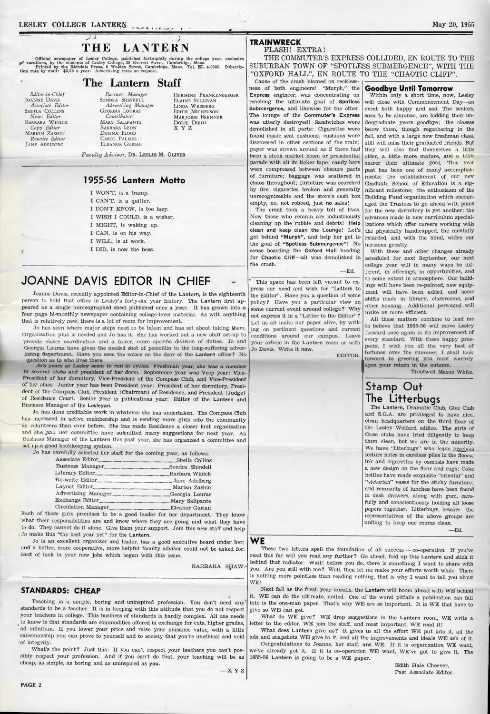# $\frac{1}{\sqrt{2}}$ **THE LANTERN**

Official newspaper of Lesley College, published fortnightly during the college year, exclusive of vacations, by the students of Lesley College, 29 Everett Street, Cambridge, Mass.<br>Printed by the Richdale Press, 6 Walden St

# **The Lantern Staff**

*Editor-in-Chief*  **JOANNE DAVIS** *A ssociate Editor*  SHEILA COLLINS *N ews Editor*  BARBARA WINICK *Copy Editor*  MARION ZASHIN *Rewrite Editor*  JANE ADELBERG

*Business Manager*  SONDRA SHINDELL *Advertising Manager*  GEORGIA LOURAS *Contributors*  MARY SALIPANTE BARBARA LEON DONNA FLOOD CAROL PALMER

ELEANOR GURIAN

HERMINE FRANKENBERGER ELAINE SULLIVAN LINDA WEISBERG EDITH MICHELSON MARJORIE BRENNER DoRiE DIEHL XYZ

*Faculty Advisor,* D R. LESLIE M. OLIVER

### **1955-56 Lantern Motto**

- I WON'T, is a tramp.
- I CAN'T, is a quitter.
- I DON'T KNOW, is too lazy.
- I WISH I COULD, is a wisher.
- I MIGHT, is waking up.
- I CAN, is on his way.
- I WILL, is at work. I DID, is now the boss.
- 

# **JOANNE DAVIS EDITOR IN CHIEF**

Joanne Davis, recently appointed Editor-in-Chief of the Lantern, is the eighteenth person to hold that office in Lesley's forty-six year history. The Lantern first appeared as a single mimeographed sheet published once a year. It has grown into a four page bi-monthly newspaper containing college-level material. As with anything that is relatively new, there is a lot of room for improvement.

Jo has seen where major steps need to be taken and has set about taking them. Organization plus is needed and Jo has it. She has worked out a new staff set-up to provide closer coordination and a fairer, more specific division of duties. Jo and Georgia Louras have given the needed shot of penicillin to the long-suffering adver-,tising department. Have you seen the notice on the door of the Lantern office? No qu estion as to who lives there.

Jo's years at Lesley seem to run in cycles. Freshman year, she was a member bf several clubs and president of her dorm. Sophomore year was Veep year: Vice-President of her dormitory, Vice-President of the Compass Club, and Vice-President of her class. Junior year has been President year: President of her dormitory, President of the Compass Club, President (Chairman) of Residence, and President (Judge) of Residence Court. Senior year is publications year: Editor of the Lantern and Business Manager of the Lesleyan.

Jo has done creditable work in whatever she has undertaken. The Compass Club increased in active membership and is sending more girls into the community as volunteers than ever before. She has made Residence a closer knit organization and she ,and her committee have submitted many suggestions for next year. As Business Manager of the Lantern this past year, she has organized a committee and set up a good bookkeeping system.

| Jo has carefully selected her staff for the coming year, as follows: |  |
|----------------------------------------------------------------------|--|
|                                                                      |  |
|                                                                      |  |
|                                                                      |  |
|                                                                      |  |
|                                                                      |  |
|                                                                      |  |
|                                                                      |  |
|                                                                      |  |

Circulation Manager ......................................................... Eleanor Gurian Each of these girls promises to be a good leader for her department. They know 'what their responsibilities are and know where they are going and what they have to do. They cannot do it alone. Give them your support. Join this new staff and help Jo make this "the best year yet" for the Lantern.

Jo is an excellent organizer and leader, has a good executive board under her; and a better, more cooperative, more helpful faculty advisor could not be asked for. Best of luck in your new jobs which began with this issue.

BARBARA SHAW.

### **ST ANDARDS: CHEAP**

Teaching is a simple, boring and uninspired profession. You don't need any standards to be a teacher. It is in keeping with this attitude that you do not respect your teachers in college. This business of standards is hardly complex. All one needs to know is that standards are commodities offered in exchange for cuts, higher grades, ad infinitum. If you lower your price and raise your nuisance value, with a little salesmanship you can prove to yourself and to society that you're unethical and void ·of integrity.

What's the point? Just this: If you can't respect your teachers you can't possibly respect your profession. And if you can't do that, your teaching will be as cheap, as simple, as boring and as uninspired as you.

# **TRAINWRECK**

FLASH! EXTRA!

THE COMMUTER'S EXPRESS COLLIDED, EN ROUTE TO THE SUBURBAN TOWN OF "SPOT LESS SUBMERGENCE", WITH THE "OXFORD HA LL", EN ROUTE TO THE "CHAOTIC CLIFF". Cause of the crash blamed on reckless-

ness of both engineers! "Murph,'' the Express engineer, was concentrating on reaching the ultimate goal of Spotless Submergence, and likewise for the other. The lounge of the Commuter's Express was utterly destroyed! Sandwiches were demolished in all parts: Cigarettes were found inside seat cushions; cushions were discovered in other sections of the train; paper was strewn around as if there had been a stock market boom or presidential parade with all its ticker tape; candy bars were compressed between obscure parts of furniture; baggage was scattered in chaos throughout; furniture was scorched by fire, cigarettes broken and generally unrecognizeable and the store's cash box empty, no, not robbed, just no sales!

The crash took a heavy toll of lives. Now those who remain are industriously cleaning up the rubble and debris! Help clean and keep clean the Lounge! Let's get behind "Murph", and help her get to the goal of "Spotless Submergence"! No sense boarding the Oxford Hall heading for Chaotic Cliff-all was demolished in the crash.

This space has been left vacant to express our need and wish for "Letters to the Editor". Have you a question of some policy? Have you a particular view on some current event around college? Why not express it in a "Letter to the Editor"? Let us all make our paper alive, by writ-\_ing on pertinent questions and current conditions around our campus. Leave your article in the Lantern room or with Jo Davis. Write it now.

EDITOR.

—Ed.

# **Goo dbye Until Tomorrow**

Within only a short time, now, Lesley will close with Commencement Day-an event both happy and sad. The seniors, soon to be alumnae, are bidding their undergraduate years goodbye; the classes below them, though regathering in the fall, and with a large new freshman class, still will miss their graduated friends. But they will also find themselves a little older, a little more mature, and a little nearer their ultimate goal. This year past has been one of many accomplishments; the establishment of our new Graduate School of Education is a significant milestone; the enthusiasm of the Building Fund organization which encouraged the Trustees to go ahead with plans for the new dormitory is yet another; the advances made in new curriculum specializations which offer careers working with the physically handicapped, the mentally retarded, and with the blind, widen our horizons greatly.

With these and other changes already scheduled for next September, our next college year will in many ways be different, in offerings, in opportunities, and to some extent in atmosphere. Our buildings will have been re-painted, new equipment will have been added, and some shifts made in library, classrooms, and other housing. Additional personnel will make us more efficient.

All these matters combine to lead me to believe that 1955-56 will move Lesley forward once again in its improvement of every standard. With these happy prospects, I wish you all the very best of fortunes over the summer; I shall look forward to greeting you most warmly upon your return in the autumn.

### Trentwell Mason White.

# **Stamp Out The Litterbugs**

The Lantern, Dramatic Club, Glee Club and S.G.A. are privileged to have nice, clean headquarters on the third floor of the Lesley Wolfard edifice. The girls of these clubs have tried diligently to keep them clean, but we are in the minority. We have "litterbugs" who leave precious lecture notes in careless piles in the floors; ink and cigarettes by osmosis have made a new design on the floor and rugs; Coke bottles have made exquisite "oriental" and "victorian" vases for the sticky furniture; and remnants of lunches have been found in desk drawers, along with gum, carefully and conscientiously holding all loose papers together. Litterbugs, beware-the representatives of the above groups are uniting to keep our rooms clean.

— Ed.

#### **WE**

These two letters spell the foundation of all success - co-operation. If you've read this far will you read any further? Go ahead, fold up this **Lantern** and stick it behind that radiator. Wait! before you do, there is something I want to share with you. Are you still with me? Well, then let me make your efforts worth while. There is nothing more pointless than reading nothing, that is why I want to tell you about WE!

Next fall as the fresh year unrolls, the Lantern will boom ahead with WE behind it. WE can do the ultimate, united. One of the worst pitfalls a publication can fall into is the one-man paper. That's why WE are so important. It is WE that have to give so WE can get.

What do WE give? WE drop suggestions in the Lantern room, WE write a letter to the editor, WE join the staff, and most important, WE read it!

What does Lantern give us? It gives us all the effort WE put into it, all the ads and snapshots WE give to it, and all the improvements and ideals WE ask of it. Congratulations to Joanne, her staff, and WE. If it is organization WE want, we've already got it. If it is co-operation WE want, WE've got to give it. The

> Edith Hale Cheever, Past Associate Editor.

1955-56 Lantern is going to be a WE paper.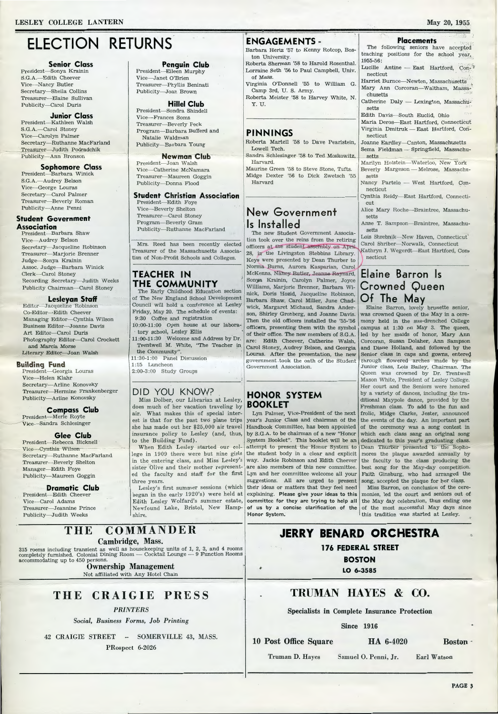# **ELECTION RETURNS**

#### **Senior Class**

President-Sonya Krainin S.G.A.-Edith Cheever Vice-Nancy Butler Secretary-Sheila Collins Treasurer-Elaine Sullivan Publicity-Carol Duris

# **Junior Class**

President-Kathleen Walsh S.G.A.-Carol Stoney Vice-Carolyn Palmer Secretary-Ruthanne MacFarland Treasurer-Judith Podradchik Publicity-Ann Bronson

#### **Sophomore Class**

President-Barbara Winick S.G.A.-Audrey Belson Vice-George Louras Secretary-Carol Palmer Treasurer-Beverly Roman Publicity-Anne Penni

#### **Student Government Association**

President-Barbara Shaw Vice-Audrey Belson Secretary-Jacqueline Robinson Treasurer-Marjorie Brenner Judge-Sonya Krainin Assoc. Judge-Barbara Winick Clerk-Carol Stoney Recording Secretary-Judith Weeks Publicity Chairman-Carol Stoney

#### **Lesleyan Staff**

Editor-Jacqueline Robinson Co-Editor-Edith Cheever Managing Editor-Cynthia Wilson Business Editor-Joanne Davis Art Editor-Carol Duris Photography Editor-Carol Crockett and Marcia Morse Literary Editor-Joan Walsh

**Building Fund**<br>President—Georgia Louras Vice-Helen Klahr Secretary-Arline Konovsky Treasurer-Hermine Frankenberger Publicity-Arline Konovsky

#### **Compass Club**

President-Merle Royte Vice-Sandra Schlesinger

#### Glee Club

President-Rebecca Bicknell Vice-Cynthia Wilson Secretary-Ruthanne MacFarland Treasurer-Beverly Shelton Manager-Edith Foye Publicity-Maureen Goggin

#### **Dramatic Club** President-Edith Cheever

Vice-Carol Adams Treasurer-Jeannine Prince Publicity-Judith Weeks

# **Penguin Club**

President-Eileen Murphy Vice-Janet O'Brien Treasurer-Phyllis Beninati Publicity-Joan Brown

#### **Hillel Club** President-Sondra Shindell

Vice--Frances Soms Treasurer-Beverly Peck Program-Barbara Bufferd and Natalie Waldman Publicity-Barbara Young

#### **Newman Club**

President-Joan Walsh Vice-Catherine McNamara Treasurer-Maureen Goggin Publicity-Donna Flood

#### **Student Christian Association**

President-Edith Foye Vice--Beverly Shelton Treasurer-Carol Stoney Program-Beverly Gram Publicity-Ruthanne MacFarland

Mrs. Reed has been recently elected Treasurer of the Massachusetts Association of Non-Profit Schools and Colleges.

## **TEACHER IN** THE COMMUNITY

The Early Childhood Education section of The New England School Development Council will hold a conference at Lesley Friday, May 20. The schedule of events: 9:30 Coffee and registration

10:00-11:00 Open house at our laboratory school, Lesley Ellis

11:00-11:30 Welcome and Address by Dr. Trentwell M. White, "The Teacher in the Community".

11:30-1:00 Panel Discussion 1:15 Luncheon

2:00-3:00 Study Groups

### DID YOU KNOW?

Miss Dolber, our Librarian at Lesley, does much of her vacation traveling by air. What makes this of special interest is that for the past two plane trips she has made out her \$25,000 air travel insurance policy to Lesley (and, thus, to the Building Fund).

When Edith Lesley started our college in 1909 there were but nine girls in the entering class, and Miss Lesley's sister Olive and their mother represented the faculty and staff for the first three years.

Lesley's first summer sessions (which began in the early 1920's) were held at Edith Lesley Wolfard's summer estate, Newfound Lake, Bristol, New Hampshire.

## **ENGAGEMENTS -**

Barbara Hertz '57 to Kenny Rotcop, Boston University.

Roberta Sherman '58 to Harold Rosenthal. Lorraine Seth '56 to Paul Campbell, Univ. of Mass.

Virginia O'Donnell '55 to William G. Camp 3rd, U.S. Army.

Roberta Meister '58 to Harvey White, N. Y. U.

#### **PINNINGS**

Roberta Martell '58 to Dave Pearlstein, Lowell Tech. Sandra Schlesinger '58 to Ted Moskowitz,

Harvard Maurine Green '58 to Steve Stone, Tufts. Midge Dexter '56 to Dick Zwetsch '55 Harvard

# New Government Is Installed

The new Student Government Association took over the reins from the retiring officers at the student assembly on April 28, in the Livingston Stebbins Library. Keys were presented by Dean Thurber to Norma Burns, Aurora Kasparian, Carol McKenna, Nancy Butler, Jeanne Raynard, Sonya Krainin, Carolyn Palmer, Joyce Williams, Marjorie Brenner, Barbara Winick, Doris Hozid, Jacqueline Robinson, Barbara Shaw, Carol Miller, June Chadwick, Margaret Michaud, Sandra Anderson, Shirley Gronberg, and Joanne Davis. Then the old officers installed the '55-'56 officers, presenting them with the symbol of their office. The new members of S.G.A. are: Edith Cheever, Catherine Walsh, Carol Stoney, Audrey Belson, and Georgia Louras. After the presentation, the new government.took the oath of the Student Government Association.

#### **HONOR SYSTEM BOOKLET**

Lyn Palmer, Vice-President of the next year's Junior Class and chairman of the Handbook Committee, has been appointed by S.G.A. to be chairman of a new "Honor System Booklet". This booklet will be an attempt to present the Honor System to the student body in a clear and explicit way. Jackie Robinson and Edith Cheever are also members of this new committee. Lyn and her committee welcome all your suggestions. All are urged to present their ideas or matters that they feel need explaining. Please give your ideas to this committee for they are trying to help all of us by a concise clarification of the Honor System.

#### **Placements** The following seniors have accepted teaching positions for the school year, 1955-56:

Lucille Antine - East Hartford, Connecticut

Harriet Burnce-Newton, Massachusetts Mary Ann Corcoran-Waltham, Massachusetts

Catherine Daly - Lexington, Massachusetts

Edith Davis-South Euclid, Ohio Maria Deros-East Hartford, Connecticut

Virginia Dmitruk - East Hartford, Connecticut Joanne Eardley-Canton, Massachusetts

Sema Fieldman - Springfield, Massachusetts

Marilyn Holstein-Waterloo, New York Beverly Margeson - Melrose, Massachusetts

Nancy Partelo -- West Hartford, Connecticut

Cynthia Reidy-East Hartford, Connecticut

Alice Mary Roche-Braintree, Massachusetts

Anne T. Sampson-Braintree, Massachusetts

Lois Shrebnik-New Haven, Connecticut Carol Shriber-Norwalk, Connecticut Kathryn J. Wegerdt—East Hartford, Con<del>,</del> necticut

# Elaine Barron Is **Crowned Queen** Of The May

Elaine Barron, lovely brunette senior, was crowned Queen of the May in a ceremony held in the sun-drenched College campus at 1:30 on May 3. The queen, led by her maids of honor, Mary Ann Corcoran, Susan Dolaher, Ann Sampson and Diane Holland, and followed by the Senior class in caps and gowns, entered through flowered arches made by the Junior class, Lois Bailey, Chairman. The Queen was crowned by Dr. Trentwell Mason White, President of Lesley College. Her court and the Seniors were honored by a variety of dances, including the traditional Maypole dance, provided by the Freshman class. To add to the fun and frolic, Midge Clarke, Jester, announced the events of the day. An important part of the ceremony was a song contest in which each class sang an original song dedicated to this year's graduating class. Dean Thurber presented to the Sophomores the plaque awarded annually by the faculty to the class producing the best song for the May-day competition. Faith Ginsburg, who had arranged the song, accepted the plaque for her class.

Miss Barron, on conclusion of the ceremonies, led the court and seniors out of the May day celebration, thus ending one of the most successful May days since this tradition was started at Lesley.

#### THE COMMANDER Cambridge, Mass.

315 rooms including transient as well as housekeeping units of 1, 2, 3, and 4 rooms completely furnished. Colonial Dining Room — Cocktail Lounge — 9 Function Rooms accommodating up to 450 persons.

**Ownership Management** Not affiliated with Any Hotel Chain

**CRAIGIE LKF22** THE

## **PRINTERS**

Social, Business Forms, Job Printing

42 CRAIGIE STREET -- SOMERVILLE 43, MASS. PRospect 6-2026

JERRY BENARD ORCHESTRA **176 FEDERAL STREET** 

**BOSTON** 

LO 6-3585

# TRUMAN HAYES & CO.

**Specialists in Complete Insurance Protection** 

**Since 1916** 

#### 10 Post Office Square

۰

HA 6-4020

Truman D. Hayes

Samuel O. Penni, Jr. Earl Watson

**Boston**